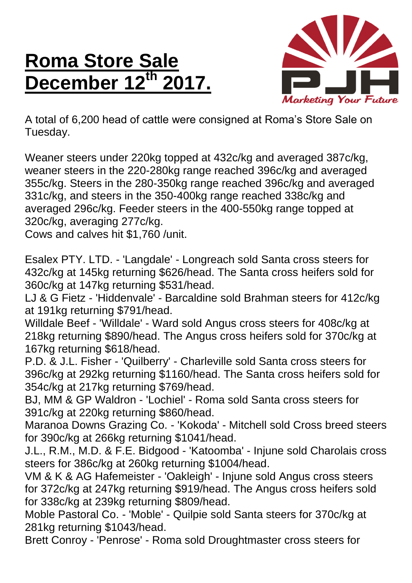## **Roma Store Sale December 12th 2017.**



A total of 6,200 head of cattle were consigned at Roma's Store Sale on Tuesday.

Weaner steers under 220kg topped at 432c/kg and averaged 387c/kg, weaner steers in the 220-280kg range reached 396c/kg and averaged 355c/kg. Steers in the 280-350kg range reached 396c/kg and averaged 331c/kg, and steers in the 350-400kg range reached 338c/kg and averaged 296c/kg. Feeder steers in the 400-550kg range topped at 320c/kg, averaging 277c/kg.

Cows and calves hit \$1,760 /unit.

Esalex PTY. LTD. - 'Langdale' - Longreach sold Santa cross steers for 432c/kg at 145kg returning \$626/head. The Santa cross heifers sold for 360c/kg at 147kg returning \$531/head.

LJ & G Fietz - 'Hiddenvale' - Barcaldine sold Brahman steers for 412c/kg at 191kg returning \$791/head.

Willdale Beef - 'Willdale' - Ward sold Angus cross steers for 408c/kg at 218kg returning \$890/head. The Angus cross heifers sold for 370c/kg at 167kg returning \$618/head.

P.D. & J.L. Fisher - 'Quilberry' - Charleville sold Santa cross steers for 396c/kg at 292kg returning \$1160/head. The Santa cross heifers sold for 354c/kg at 217kg returning \$769/head.

BJ, MM & GP Waldron - 'Lochiel' - Roma sold Santa cross steers for 391c/kg at 220kg returning \$860/head.

Maranoa Downs Grazing Co. - 'Kokoda' - Mitchell sold Cross breed steers for 390c/kg at 266kg returning \$1041/head.

J.L., R.M., M.D. & F.E. Bidgood - 'Katoomba' - Injune sold Charolais cross steers for 386c/kg at 260kg returning \$1004/head.

VM & K & AG Hafemeister - 'Oakleigh' - Injune sold Angus cross steers for 372c/kg at 247kg returning \$919/head. The Angus cross heifers sold for 338c/kg at 239kg returning \$809/head.

Moble Pastoral Co. - 'Moble' - Quilpie sold Santa steers for 370c/kg at 281kg returning \$1043/head.

Brett Conroy - 'Penrose' - Roma sold Droughtmaster cross steers for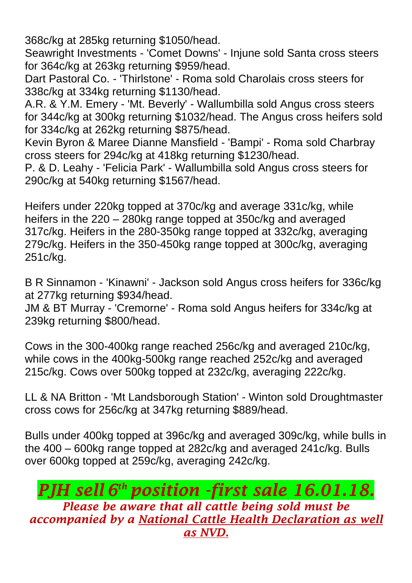368c/kg at 285kg returning \$1050/head.

Seawright Investments - 'Comet Downs' - Injune sold Santa cross steers for 364c/kg at 263kg returning \$959/head.

Dart Pastoral Co. - 'Thirlstone' - Roma sold Charolais cross steers for 338c/kg at 334kg returning \$1130/head.

A.R. & Y.M. Emery - 'Mt. Beverly' - Wallumbilla sold Angus cross steers for 344c/kg at 300kg returning \$1032/head. The Angus cross heifers sold for 334c/kg at 262kg returning \$875/head.

Kevin Byron & Maree Dianne Mansfield - 'Bampi' - Roma sold Charbray cross steers for 294c/kg at 418kg returning \$1230/head.

P. & D. Leahy - 'Felicia Park' - Wallumbilla sold Angus cross steers for 290c/kg at 540kg returning \$1567/head.

Heifers under 220kg topped at 370c/kg and average 331c/kg, while heifers in the 220 – 280kg range topped at 350c/kg and averaged 317c/kg. Heifers in the 280-350kg range topped at 332c/kg, averaging 279c/kg. Heifers in the 350-450kg range topped at 300c/kg, averaging 251c/kg.

B R Sinnamon - 'Kinawni' - Jackson sold Angus cross heifers for 336c/kg at 277kg returning \$934/head.

JM & BT Murray - 'Cremorne' - Roma sold Angus heifers for 334c/kg at 239kg returning \$800/head.

Cows in the 300-400kg range reached 256c/kg and averaged 210c/kg, while cows in the 400kg-500kg range reached 252c/kg and averaged 215c/kg. Cows over 500kg topped at 232c/kg, averaging 222c/kg.

LL & NA Britton - 'Mt Landsborough Station' - Winton sold Droughtmaster cross cows for 256c/kg at 347kg returning \$889/head.

Bulls under 400kg topped at 396c/kg and averaged 309c/kg, while bulls in the 400 – 600kg range topped at 282c/kg and averaged 241c/kg. Bulls over 600kg topped at 259c/kg, averaging 242c/kg.

## *PJH sell 6 th position -first sale 16.01.18.*

*Please be aware that all cattle being sold must be accompanied by a National Cattle Health Declaration as well as NVD.*